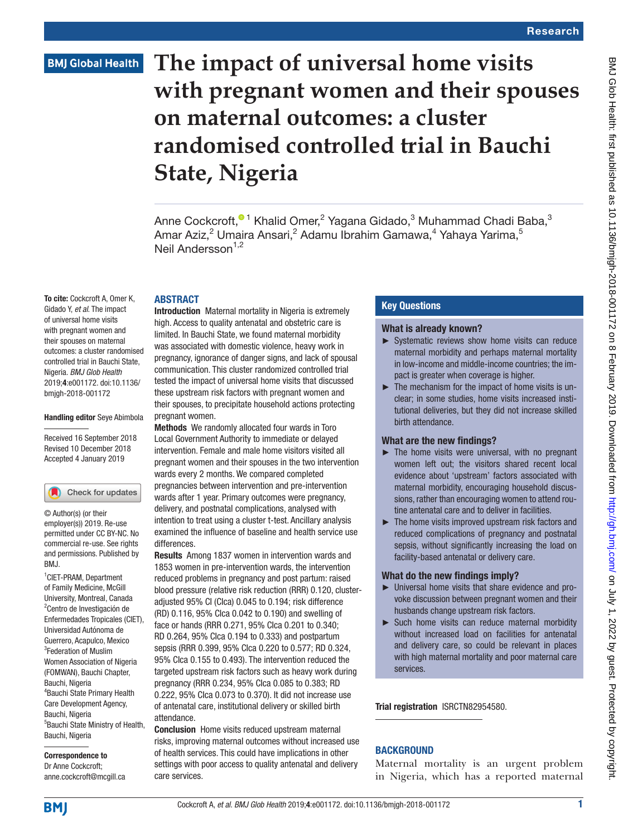# **BMJ Global Health**

# **The impact of universal home visits with pregnant women and their spouses on maternal outcomes: a cluster randomised controlled trial in Bauchi State, Nigeria**

Anne Cockcroft[,](http://orcid.org/0000-0002-1558-1106) $^{\textcolor{red}{\textcolor{blue}{\bullet}} }$ 1 Khalid Omer, $^2$  Yagana Gidado, $^3$  Muhammad Chadi Baba, $^3$ Amar Aziz,<sup>2</sup> Umaira Ansari,<sup>2</sup> Adamu Ibrahim Gamawa,<sup>4</sup> Yahaya Yarima,<sup>5</sup> Neil Andersson<sup>1,2</sup>

## **ABSTRACT**

To cite: Cockcroft A, Omer K, Gidado Y, *et al*. The impact of universal home visits with pregnant women and their spouses on maternal outcomes: a cluster randomised controlled trial in Bauchi State, Nigeria. *BMJ Glob Health* 2019;4:e001172. doi:10.1136/ bmjgh-2018-001172

#### Handling editor Seye Abimbola

Received 16 September 2018 Revised 10 December 2018 Accepted 4 January 2019

#### Check for updates

© Author(s) (or their employer(s)) 2019. Re-use permitted under CC BY-NC. No commercial re-use. See rights and permissions. Published by BMJ.

1 CIET-PRAM, Department of Family Medicine, McGill University, Montreal, Canada <sup>2</sup> Centro de Investigación de Enfermedades Tropicales (CIET), Universidad Autónoma de Guerrero, Acapulco, Mexico <sup>3</sup>Federation of Muslim Women Association of Nigeria (FOMWAN), Bauchi Chapter, Bauchi, Nigeria 4 Bauchi State Primary Health Care Development Agency, Bauchi, Nigeria 5 Bauchi State Ministry of Health, Bauchi, Nigeria

#### Correspondence to Dr Anne Cockcroft; anne.cockcroft@mcgill.ca

Introduction Maternal mortality in Nigeria is extremely high. Access to quality antenatal and obstetric care is limited. In Bauchi State, we found maternal morbidity was associated with domestic violence, heavy work in pregnancy, ignorance of danger signs, and lack of spousal communication. This cluster randomized controlled trial tested the impact of universal home visits that discussed these upstream risk factors with pregnant women and their spouses, to precipitate household actions protecting pregnant women.

Methods We randomly allocated four wards in Toro Local Government Authority to immediate or delayed intervention. Female and male home visitors visited all pregnant women and their spouses in the two intervention wards every 2 months. We compared completed pregnancies between intervention and pre-intervention wards after 1 year. Primary outcomes were pregnancy, delivery, and postnatal complications, analysed with intention to treat using a cluster t-test. Ancillary analysis examined the influence of baseline and health service use differences.

Results Among 1837 women in intervention wards and 1853 women in pre-intervention wards, the intervention reduced problems in pregnancy and post partum: raised blood pressure (relative risk reduction (RRR) 0.120, clusteradjusted 95% CI (CIca) 0.045 to 0.194; risk difference (RD) 0.116, 95% CIca 0.042 to 0.190) and swelling of face or hands (RRR 0.271, 95% CIca 0.201 to 0.340; RD 0.264, 95% CIca 0.194 to 0.333) and postpartum sepsis (RRR 0.399, 95% CIca 0.220 to 0.577; RD 0.324, 95% CIca 0.155 to 0.493). The intervention reduced the targeted upstream risk factors such as heavy work during pregnancy (RRR 0.234, 95% CIca 0.085 to 0.383; RD 0.222, 95% CIca 0.073 to 0.370). It did not increase use of antenatal care, institutional delivery or skilled birth attendance.

Conclusion Home visits reduced upstream maternal risks, improving maternal outcomes without increased use of health services. This could have implications in other settings with poor access to quality antenatal and delivery care services.

# Key Questions

#### What is already known?

- ► Systematic reviews show home visits can reduce maternal morbidity and perhaps maternal mortality in low-income and middle-income countries; the impact is greater when coverage is higher.
- ► The mechanism for the impact of home visits is unclear; in some studies, home visits increased institutional deliveries, but they did not increase skilled birth attendance.

#### What are the new findings?

- $\blacktriangleright$  The home visits were universal, with no pregnant women left out; the visitors shared recent local evidence about 'upstream' factors associated with maternal morbidity, encouraging household discussions, rather than encouraging women to attend routine antenatal care and to deliver in facilities.
- ► The home visits improved upstream risk factors and reduced complications of pregnancy and postnatal sepsis, without significantly increasing the load on facility-based antenatal or delivery care.

# What do the new findings imply?

- ► Universal home visits that share evidence and provoke discussion between pregnant women and their husbands change upstream risk factors.
- ► Such home visits can reduce maternal morbidity without increased load on facilities for antenatal and delivery care, so could be relevant in places with high maternal mortality and poor maternal care services.

Trial registration [ISRCTN82954580.](ISRCTN82954580)

# **BACKGROUND**

Maternal mortality is an urgent problem in Nigeria, which has a reported maternal

**BMI**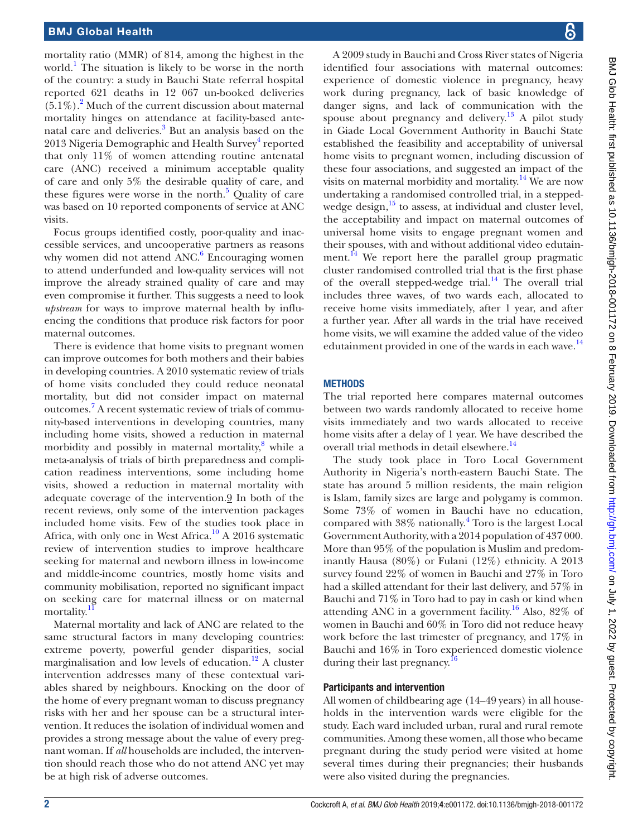mortality ratio (MMR) of 814, among the highest in the world.<sup>[1](#page-8-0)</sup> The situation is likely to be worse in the north of the country: a study in Bauchi State referral hospital reported 621 deaths in 12 067 un-booked deliveries  $(5.1\%)$ .<sup>[2](#page-8-1)</sup> Much of the current discussion about maternal mortality hinges on attendance at facility-based ante-natal care and deliveries.<sup>[3](#page-8-2)</sup> But an analysis based on the 2013 Nigeria Demographic and Health Survey<sup>[4](#page-8-3)</sup> reported that only 11% of women attending routine antenatal care (ANC) received a minimum acceptable quality of care and only 5% the desirable quality of care, and these figures were worse in the north.<sup>[5](#page-8-4)</sup> Quality of care was based on 10 reported components of service at ANC visits.

Focus groups identified costly, poor-quality and inaccessible services, and uncooperative partners as reasons why women did not attend ANC.<sup>[6](#page-8-5)</sup> Encouraging women to attend underfunded and low-quality services will not improve the already strained quality of care and may even compromise it further. This suggests a need to look *upstream* for ways to improve maternal health by influencing the conditions that produce risk factors for poor maternal outcomes.

There is evidence that home visits to pregnant women can improve outcomes for both mothers and their babies in developing countries. A 2010 systematic review of trials of home visits concluded they could reduce neonatal mortality, but did not consider impact on maternal outcomes.<sup>[7](#page-8-6)</sup> A recent systematic review of trials of community-based interventions in developing countries, many including home visits, showed a reduction in maternal morbidity and possibly in maternal mortality,<sup>[8](#page-8-7)</sup> while a meta-analysis of trials of birth preparedness and complication readiness interventions, some including home visits, showed a reduction in maternal mortality with adequate coverage of the intervention.<sup>9</sup> In both of the recent reviews, only some of the intervention packages included home visits. Few of the studies took place in Africa, with only one in West Africa.<sup>10</sup> A 2016 systematic review of intervention studies to improve healthcare seeking for maternal and newborn illness in low-income and middle-income countries, mostly home visits and community mobilisation, reported no significant impact on seeking care for maternal illness or on maternal mortality.<sup>1</sup>

Maternal mortality and lack of ANC are related to the same structural factors in many developing countries: extreme poverty, powerful gender disparities, social marginalisation and low levels of education.<sup>12</sup> A cluster intervention addresses many of these contextual variables shared by neighbours. Knocking on the door of the home of every pregnant woman to discuss pregnancy risks with her and her spouse can be a structural intervention. It reduces the isolation of individual women and provides a strong message about the value of every pregnant woman. If *all* households are included, the intervention should reach those who do not attend ANC yet may be at high risk of adverse outcomes.

A 2009 study in Bauchi and Cross River states of Nigeria identified four associations with maternal outcomes: experience of domestic violence in pregnancy, heavy work during pregnancy, lack of basic knowledge of danger signs, and lack of communication with the spouse about pregnancy and delivery.<sup>13</sup> A pilot study in Giade Local Government Authority in Bauchi State established the feasibility and acceptability of universal home visits to pregnant women, including discussion of these four associations, and suggested an impact of the visits on maternal morbidity and mortality.<sup>[14](#page-8-13)</sup> We are now undertaking a randomised controlled trial, in a stepped-wedge design,<sup>[15](#page-8-14)</sup> to assess, at individual and cluster level, the acceptability and impact on maternal outcomes of universal home visits to engage pregnant women and their spouses, with and without additional video edutainment.<sup>14</sup> We report here the parallel group pragmatic cluster randomised controlled trial that is the first phase of the overall stepped-wedge trial.<sup>14</sup> The overall trial includes three waves, of two wards each, allocated to receive home visits immediately, after 1 year, and after a further year. After all wards in the trial have received home visits, we will examine the added value of the video edutainment provided in one of the wards in each wave. $^{14}$  $^{14}$  $^{14}$ 

# **METHODS**

The trial reported here compares maternal outcomes between two wards randomly allocated to receive home visits immediately and two wards allocated to receive home visits after a delay of 1 year. We have described the overall trial methods in detail elsewhere.<sup>14</sup>

The study took place in Toro Local Government Authority in Nigeria's north-eastern Bauchi State. The state has around 5 million residents, the main religion is Islam, family sizes are large and polygamy is common. Some 73% of women in Bauchi have no education, compared with 38% nationally.[4](#page-8-3) Toro is the largest Local Government Authority, with a 2014 population of 437 000. More than 95% of the population is Muslim and predominantly Hausa (80%) or Fulani (12%) ethnicity. A 2013 survey found 22% of women in Bauchi and 27% in Toro had a skilled attendant for their last delivery, and 57% in Bauchi and 71% in Toro had to pay in cash or kind when attending ANC in a government facility.<sup>[16](#page-8-15)</sup> Also, 82% of women in Bauchi and 60% in Toro did not reduce heavy work before the last trimester of pregnancy, and 17% in Bauchi and 16% in Toro experienced domestic violence during their last pregnancy.<sup>16</sup>

# Participants and intervention

All women of childbearing age (14–49 years) in all households in the intervention wards were eligible for the study. Each ward included urban, rural and rural remote communities. Among these women, all those who became pregnant during the study period were visited at home several times during their pregnancies; their husbands were also visited during the pregnancies.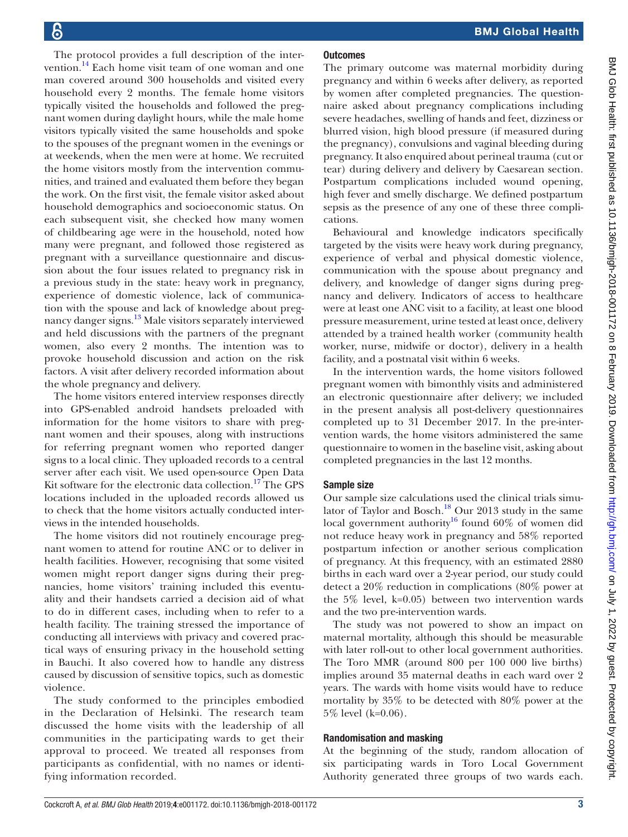The protocol provides a full description of the intervention.<sup>14</sup> Each home visit team of one woman and one man covered around 300 households and visited every household every 2 months. The female home visitors typically visited the households and followed the pregnant women during daylight hours, while the male home visitors typically visited the same households and spoke to the spouses of the pregnant women in the evenings or at weekends, when the men were at home. We recruited the home visitors mostly from the intervention communities, and trained and evaluated them before they began the work. On the first visit, the female visitor asked about household demographics and socioeconomic status. On each subsequent visit, she checked how many women of childbearing age were in the household, noted how many were pregnant, and followed those registered as pregnant with a surveillance questionnaire and discussion about the four issues related to pregnancy risk in a previous study in the state: heavy work in pregnancy, experience of domestic violence, lack of communication with the spouse and lack of knowledge about pregnancy danger signs.<sup>13</sup> Male visitors separately interviewed and held discussions with the partners of the pregnant women, also every 2 months. The intention was to provoke household discussion and action on the risk factors. A visit after delivery recorded information about the whole pregnancy and delivery.

The home visitors entered interview responses directly into GPS-enabled android handsets preloaded with information for the home visitors to share with pregnant women and their spouses, along with instructions for referring pregnant women who reported danger signs to a local clinic. They uploaded records to a central server after each visit. We used open-source Open Data Kit software for the electronic data collection.<sup>17</sup> The GPS locations included in the uploaded records allowed us to check that the home visitors actually conducted interviews in the intended households.

The home visitors did not routinely encourage pregnant women to attend for routine ANC or to deliver in health facilities. However, recognising that some visited women might report danger signs during their pregnancies, home visitors' training included this eventuality and their handsets carried a decision aid of what to do in different cases, including when to refer to a health facility. The training stressed the importance of conducting all interviews with privacy and covered practical ways of ensuring privacy in the household setting in Bauchi. It also covered how to handle any distress caused by discussion of sensitive topics, such as domestic violence.

The study conformed to the principles embodied in the Declaration of Helsinki. The research team discussed the home visits with the leadership of all communities in the participating wards to get their approval to proceed. We treated all responses from participants as confidential, with no names or identifying information recorded.

# **Outcomes**

The primary outcome was maternal morbidity during pregnancy and within 6 weeks after delivery, as reported by women after completed pregnancies. The questionnaire asked about pregnancy complications including severe headaches, swelling of hands and feet, dizziness or blurred vision, high blood pressure (if measured during the pregnancy), convulsions and vaginal bleeding during pregnancy. It also enquired about perineal trauma (cut or tear) during delivery and delivery by Caesarean section. Postpartum complications included wound opening, high fever and smelly discharge. We defined postpartum sepsis as the presence of any one of these three complications.

Behavioural and knowledge indicators specifically targeted by the visits were heavy work during pregnancy, experience of verbal and physical domestic violence, communication with the spouse about pregnancy and delivery, and knowledge of danger signs during pregnancy and delivery. Indicators of access to healthcare were at least one ANC visit to a facility, at least one blood pressure measurement, urine tested at least once, delivery attended by a trained health worker (community health worker, nurse, midwife or doctor), delivery in a health facility, and a postnatal visit within 6 weeks.

In the intervention wards, the home visitors followed pregnant women with bimonthly visits and administered an electronic questionnaire after delivery; we included in the present analysis all post-delivery questionnaires completed up to 31 December 2017. In the pre-intervention wards, the home visitors administered the same questionnaire to women in the baseline visit, asking about completed pregnancies in the last 12 months.

## Sample size

Our sample size calculations used the clinical trials simulator of Taylor and Bosch.<sup>18</sup> Our 2013 study in the same local government authority<sup>16</sup> found 60% of women did not reduce heavy work in pregnancy and 58% reported postpartum infection or another serious complication of pregnancy. At this frequency, with an estimated 2880 births in each ward over a 2-year period, our study could detect a 20% reduction in complications (80% power at the 5% level, k=0.05) between two intervention wards and the two pre-intervention wards.

The study was not powered to show an impact on maternal mortality, although this should be measurable with later roll-out to other local government authorities. The Toro MMR (around 800 per 100 000 live births) implies around 35 maternal deaths in each ward over 2 years. The wards with home visits would have to reduce mortality by 35% to be detected with 80% power at the 5% level (k=0.06).

## Randomisation and masking

At the beginning of the study, random allocation of six participating wards in Toro Local Government Authority generated three groups of two wards each.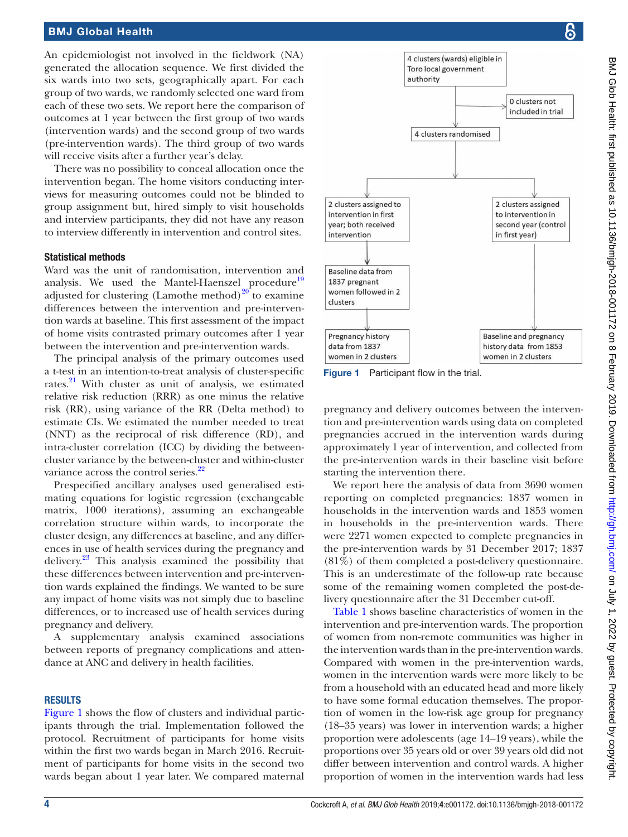## BMJ Global Health

An epidemiologist not involved in the fieldwork (NA) generated the allocation sequence. We first divided the six wards into two sets, geographically apart. For each group of two wards, we randomly selected one ward from each of these two sets. We report here the comparison of outcomes at 1 year between the first group of two wards (intervention wards) and the second group of two wards (pre-intervention wards). The third group of two wards will receive visits after a further year's delay.

There was no possibility to conceal allocation once the intervention began. The home visitors conducting interviews for measuring outcomes could not be blinded to group assignment but, hired simply to visit households and interview participants, they did not have any reason to interview differently in intervention and control sites.

#### Statistical methods

Ward was the unit of randomisation, intervention and analysis. We used the Mantel-Haenszel procedure<sup>[19](#page-8-18)</sup> adjusted for clustering (Lamothe method) $20^{\circ}$  $20^{\circ}$  to examine differences between the intervention and pre-intervention wards at baseline. This first assessment of the impact of home visits contrasted primary outcomes after 1 year between the intervention and pre-intervention wards.

The principal analysis of the primary outcomes used a t-test in an intention-to-treat analysis of cluster-specific rates.<sup>21</sup> With cluster as unit of analysis, we estimated relative risk reduction (RRR) as one minus the relative risk (RR), using variance of the RR (Delta method) to estimate CIs. We estimated the number needed to treat (NNT) as the reciprocal of risk difference (RD), and intra-cluster correlation (ICC) by dividing the betweencluster variance by the between-cluster and within-cluster variance across the control series.<sup>[22](#page-8-21)</sup>

Prespecified ancillary analyses used generalised estimating equations for logistic regression (exchangeable matrix, 1000 iterations), assuming an exchangeable correlation structure within wards, to incorporate the cluster design, any differences at baseline, and any differences in use of health services during the pregnancy and delivery[.23](#page-8-22) This analysis examined the possibility that these differences between intervention and pre-intervention wards explained the findings. We wanted to be sure any impact of home visits was not simply due to baseline differences, or to increased use of health services during pregnancy and delivery.

A supplementary analysis examined associations between reports of pregnancy complications and attendance at ANC and delivery in health facilities.

#### **RESULTS**

[Figure](#page-3-0) 1 shows the flow of clusters and individual participants through the trial. Implementation followed the protocol. Recruitment of participants for home visits within the first two wards began in March 2016. Recruitment of participants for home visits in the second two wards began about 1 year later. We compared maternal



<span id="page-3-0"></span>Figure 1 Participant flow in the trial.

pregnancy and delivery outcomes between the intervention and pre-intervention wards using data on completed pregnancies accrued in the intervention wards during approximately 1 year of intervention, and collected from the pre-intervention wards in their baseline visit before starting the intervention there.

We report here the analysis of data from 3690 women reporting on completed pregnancies: 1837 women in households in the intervention wards and 1853 women in households in the pre-intervention wards. There were 2271 women expected to complete pregnancies in the pre-intervention wards by 31 December 2017; 1837 (81%) of them completed a post-delivery questionnaire. This is an underestimate of the follow-up rate because some of the remaining women completed the post-delivery questionnaire after the 31 December cut-off.

[Table](#page-4-0) 1 shows baseline characteristics of women in the intervention and pre-intervention wards. The proportion of women from non-remote communities was higher in the intervention wards than in the pre-intervention wards. Compared with women in the pre-intervention wards, women in the intervention wards were more likely to be from a household with an educated head and more likely to have some formal education themselves. The proportion of women in the low-risk age group for pregnancy (18–35 years) was lower in intervention wards; a higher proportion were adolescents (age 14–19 years), while the proportions over 35 years old or over 39 years old did not differ between intervention and control wards. A higher proportion of women in the intervention wards had less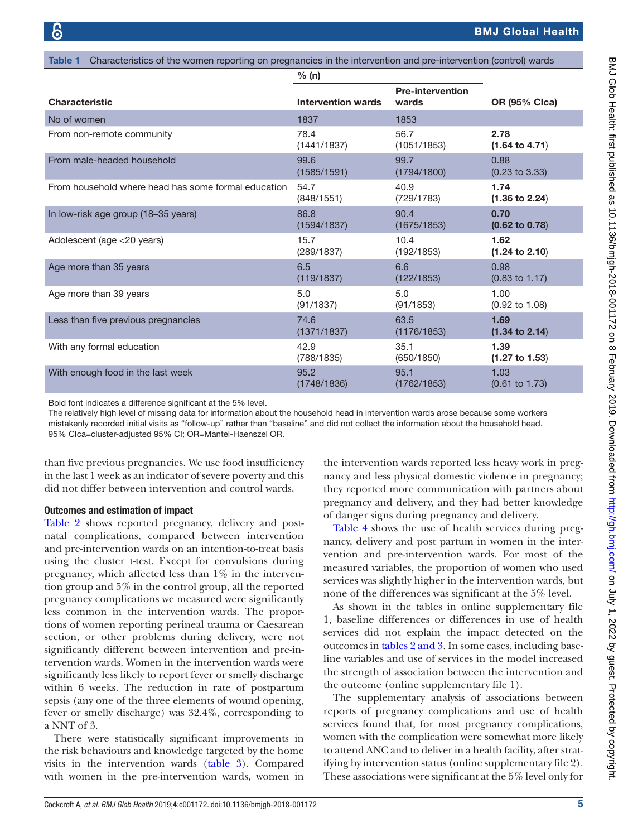<span id="page-4-0"></span>

| Characteristics of the women reporting on pregnancies in the intervention and pre-intervention (control) wards<br>Table 1 |                           |                                  |                           |  |  |  |  |
|---------------------------------------------------------------------------------------------------------------------------|---------------------------|----------------------------------|---------------------------|--|--|--|--|
|                                                                                                                           | % (n)                     |                                  |                           |  |  |  |  |
| <b>Characteristic</b>                                                                                                     | <b>Intervention wards</b> | <b>Pre-intervention</b><br>wards | <b>OR (95% Clca)</b>      |  |  |  |  |
| No of women                                                                                                               | 1837                      | 1853                             |                           |  |  |  |  |
| From non-remote community                                                                                                 | 78.4                      | 56.7                             | 2.78                      |  |  |  |  |
|                                                                                                                           | (1441/1837)               | (1051/1853)                      | $(1.64 \text{ to } 4.71)$ |  |  |  |  |
| From male-headed household                                                                                                | 99.6                      | 99.7                             | 0.88                      |  |  |  |  |
|                                                                                                                           | (1585/1591)               | (1794/1800)                      | $(0.23 \text{ to } 3.33)$ |  |  |  |  |
| From household where head has some formal education                                                                       | 54.7                      | 40.9                             | 1.74                      |  |  |  |  |
|                                                                                                                           | (848/1551)                | (729/1783)                       | $(1.36 \text{ to } 2.24)$ |  |  |  |  |
| In low-risk age group (18-35 years)                                                                                       | 86.8                      | 90.4                             | 0.70                      |  |  |  |  |
|                                                                                                                           | (1594/1837)               | (1675/1853)                      | $(0.62 \text{ to } 0.78)$ |  |  |  |  |
| Adolescent (age <20 years)                                                                                                | 15.7                      | 10.4                             | 1.62                      |  |  |  |  |
|                                                                                                                           | (289/1837)                | (192/1853)                       | $(1.24 \text{ to } 2.10)$ |  |  |  |  |
| Age more than 35 years                                                                                                    | 6.5                       | 6.6                              | 0.98                      |  |  |  |  |
|                                                                                                                           | (119/1837)                | (122/1853)                       | $(0.83 \text{ to } 1.17)$ |  |  |  |  |
| Age more than 39 years                                                                                                    | 5.0                       | 5.0                              | 1.00                      |  |  |  |  |
|                                                                                                                           | (91/1837)                 | (91/1853)                        | $(0.92 \text{ to } 1.08)$ |  |  |  |  |
| Less than five previous pregnancies                                                                                       | 74.6                      | 63.5                             | 1.69                      |  |  |  |  |
|                                                                                                                           | (1371/1837)               | (1176/1853)                      | $(1.34 \text{ to } 2.14)$ |  |  |  |  |
| With any formal education                                                                                                 | 42.9                      | 35.1                             | 1.39                      |  |  |  |  |
|                                                                                                                           | (788/1835)                | (650/1850)                       | $(1.27 \text{ to } 1.53)$ |  |  |  |  |
| With enough food in the last week                                                                                         | 95.2                      | 95.1                             | 1.03                      |  |  |  |  |
|                                                                                                                           | (1748/1836)               | (1762/1853)                      | $(0.61 \text{ to } 1.73)$ |  |  |  |  |

Bold font indicates a difference significant at the 5% level.

The relatively high level of missing data for information about the household head in intervention wards arose because some workers mistakenly recorded initial visits as "follow-up" rather than "baseline" and did not collect the information about the household head. 95% CIca=cluster-adjusted 95% CI; OR=Mantel-Haenszel OR.

than five previous pregnancies. We use food insufficiency in the last 1 week as an indicator of severe poverty and this did not differ between intervention and control wards.

#### Outcomes and estimation of impact

[Table](#page-5-0) 2 shows reported pregnancy, delivery and postnatal complications, compared between intervention and pre-intervention wards on an intention-to-treat basis using the cluster t-test. Except for convulsions during pregnancy, which affected less than 1% in the intervention group and 5% in the control group, all the reported pregnancy complications we measured were significantly less common in the intervention wards. The proportions of women reporting perineal trauma or Caesarean section, or other problems during delivery, were not significantly different between intervention and pre-intervention wards. Women in the intervention wards were significantly less likely to report fever or smelly discharge within 6 weeks. The reduction in rate of postpartum sepsis (any one of the three elements of wound opening, fever or smelly discharge) was 32.4%, corresponding to a NNT of 3.

There were statistically significant improvements in the risk behaviours and knowledge targeted by the home visits in the intervention wards ([table](#page-6-0) 3). Compared with women in the pre-intervention wards, women in

the intervention wards reported less heavy work in pregnancy and less physical domestic violence in pregnancy; they reported more communication with partners about pregnancy and delivery, and they had better knowledge of danger signs during pregnancy and delivery.

[Table](#page-6-1) 4 shows the use of health services during pregnancy, delivery and post partum in women in the intervention and pre-intervention wards. For most of the measured variables, the proportion of women who used services was slightly higher in the intervention wards, but none of the differences was significant at the 5% level.

As shown in the tables in [online supplementary file](https://dx.doi.org/10.1136/bmjgh-2018-001172) [1](https://dx.doi.org/10.1136/bmjgh-2018-001172), baseline differences or differences in use of health services did not explain the impact detected on the outcomes in tables [2 and 3](#page-5-0). In some cases, including baseline variables and use of services in the model increased the strength of association between the intervention and the outcome [\(online supplementary file 1\)](https://dx.doi.org/10.1136/bmjgh-2018-001172).

The supplementary analysis of associations between reports of pregnancy complications and use of health services found that, for most pregnancy complications, women with the complication were somewhat more likely to attend ANC and to deliver in a health facility, after stratifying by intervention status ([online supplementary file 2](https://dx.doi.org/10.1136/bmjgh-2018-001172)). These associations were significant at the 5% level only for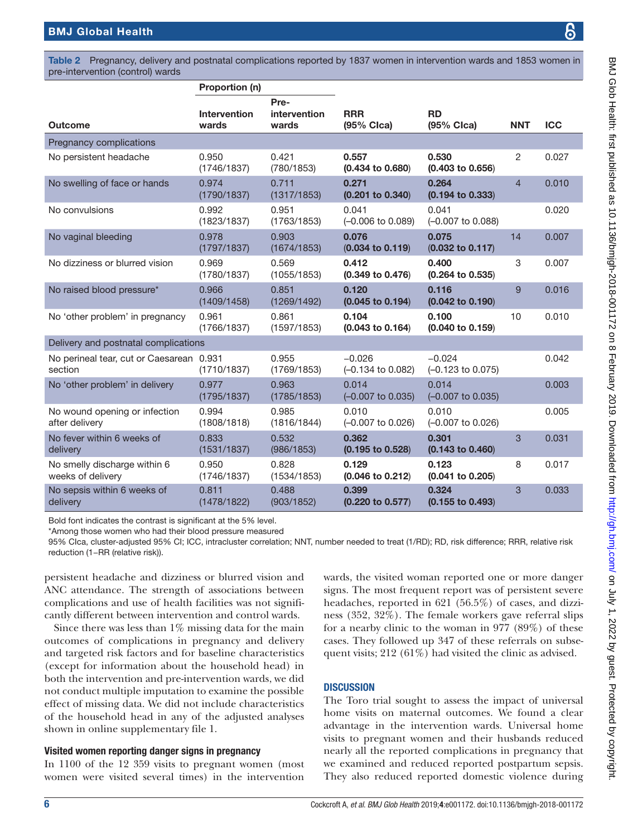<span id="page-5-0"></span>Table 2 Pregnancy, delivery and postnatal complications reported by 1837 women in intervention wards and 1853 women in pre-intervention (control) wards

|                                                     | Proportion (n)               |                               |                                          |                                          |                |            |
|-----------------------------------------------------|------------------------------|-------------------------------|------------------------------------------|------------------------------------------|----------------|------------|
| <b>Outcome</b>                                      | <b>Intervention</b><br>wards | Pre-<br>intervention<br>wards | <b>RRR</b><br>(95% Clca)                 | <b>RD</b><br>(95% Clca)                  | <b>NNT</b>     | <b>ICC</b> |
| Pregnancy complications                             |                              |                               |                                          |                                          |                |            |
| No persistent headache                              | 0.950<br>(1746/1837)         | 0.421<br>(780/1853)           | 0.557<br>$(0.434 \text{ to } 0.680)$     | 0.530<br>$(0.403 \text{ to } 0.656)$     | 2              | 0.027      |
| No swelling of face or hands                        | 0.974<br>(1790/1837)         | 0.711<br>(1317/1853)          | 0.271<br>$(0.201$ to $0.340)$            | 0.264<br>$(0.194 \text{ to } 0.333)$     | $\overline{4}$ | 0.010      |
| No convulsions                                      | 0.992<br>(1823/1837)         | 0.951<br>(1763/1853)          | 0.041<br>$(-0.006 \text{ to } 0.089)$    | 0.041<br>$(-0.007)$ to 0.088)            |                | 0.020      |
| No vaginal bleeding                                 | 0.978<br>(1797/1837)         | 0.903<br>(1674/1853)          | 0.076<br>$(0.034 \text{ to } 0.119)$     | 0.075<br>$(0.032 \text{ to } 0.117)$     | 14             | 0.007      |
| No dizziness or blurred vision                      | 0.969<br>(1780/1837)         | 0.569<br>(1055/1853)          | 0.412<br>$(0.349 \text{ to } 0.476)$     | 0.400<br>$(0.264 \text{ to } 0.535)$     | 3              | 0.007      |
| No raised blood pressure*                           | 0.966<br>(1409/1458)         | 0.851<br>(1269/1492)          | 0.120<br>$(0.045 \text{ to } 0.194)$     | 0.116<br>$(0.042 \text{ to } 0.190)$     | 9              | 0.016      |
| No 'other problem' in pregnancy                     | 0.961<br>(1766/1837)         | 0.861<br>(1597/1853)          | 0.104<br>$(0.043 \text{ to } 0.164)$     | 0.100<br>$(0.040 \text{ to } 0.159)$     | 10             | 0.010      |
| Delivery and postnatal complications                |                              |                               |                                          |                                          |                |            |
| No perineal tear, cut or Caesarean 0.931<br>section | (1710/1837)                  | 0.955<br>(1769/1853)          | $-0.026$<br>$(-0.134 \text{ to } 0.082)$ | $-0.024$<br>$(-0.123 \text{ to } 0.075)$ |                | 0.042      |
| No 'other problem' in delivery                      | 0.977<br>(1795/1837)         | 0.963<br>(1785/1853)          | 0.014<br>$(-0.007 \text{ to } 0.035)$    | 0.014<br>$(-0.007 \text{ to } 0.035)$    |                | 0.003      |
| No wound opening or infection<br>after delivery     | 0.994<br>(1808/1818)         | 0.985<br>(1816/1844)          | 0.010<br>$(-0.007 \text{ to } 0.026)$    | 0.010<br>$(-0.007 \text{ to } 0.026)$    |                | 0.005      |
| No fever within 6 weeks of<br>delivery              | 0.833<br>(1531/1837)         | 0.532<br>(986/1853)           | 0.362<br>$(0.195 \text{ to } 0.528)$     | 0.301<br>$(0.143 \text{ to } 0.460)$     | 3              | 0.031      |
| No smelly discharge within 6<br>weeks of delivery   | 0.950<br>(1746/1837)         | 0.828<br>(1534/1853)          | 0.129<br>$(0.046 \text{ to } 0.212)$     | 0.123<br>$(0.041$ to $0.205)$            | 8              | 0.017      |
| No sepsis within 6 weeks of<br>delivery             | 0.811<br>(1478/1822)         | 0.488<br>(903/1852)           | 0.399<br>$(0.220 \text{ to } 0.577)$     | 0.324<br>$(0.155$ to $0.493)$            | 3              | 0.033      |

Bold font indicates the contrast is significant at the 5% level.

\*Among those women who had their blood pressure measured

95% CIca, cluster-adjusted 95% CI; ICC, intracluster correlation; NNT, number needed to treat (1/RD); RD, risk difference; RRR, relative risk reduction (1−RR (relative risk)).

persistent headache and dizziness or blurred vision and ANC attendance. The strength of associations between complications and use of health facilities was not significantly different between intervention and control wards.

Since there was less than  $1\%$  missing data for the main outcomes of complications in pregnancy and delivery and targeted risk factors and for baseline characteristics (except for information about the household head) in both the intervention and pre-intervention wards, we did not conduct multiple imputation to examine the possible effect of missing data. We did not include characteristics of the household head in any of the adjusted analyses shown in [online supplementary file 1.](https://dx.doi.org/10.1136/bmjgh-2018-001172)

#### Visited women reporting danger signs in pregnancy

In 1100 of the 12 359 visits to pregnant women (most women were visited several times) in the intervention

wards, the visited woman reported one or more danger signs. The most frequent report was of persistent severe headaches, reported in 621 (56.5%) of cases, and dizziness (352, 32%). The female workers gave referral slips for a nearby clinic to the woman in 977 (89%) of these cases. They followed up 347 of these referrals on subsequent visits; 212 (61%) had visited the clinic as advised.

## **DISCUSSION**

The Toro trial sought to assess the impact of universal home visits on maternal outcomes. We found a clear advantage in the intervention wards. Universal home visits to pregnant women and their husbands reduced nearly all the reported complications in pregnancy that we examined and reduced reported postpartum sepsis. They also reduced reported domestic violence during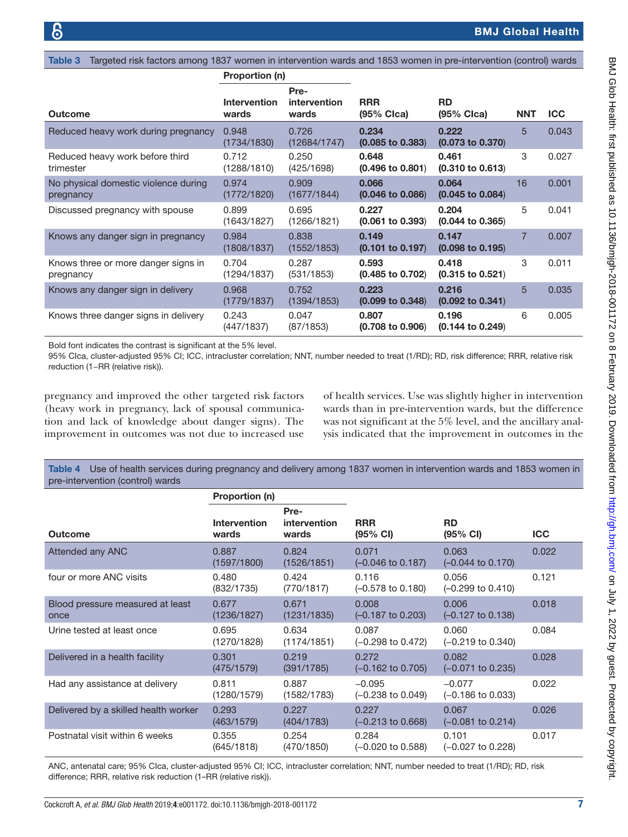<span id="page-6-0"></span>

| Targeted risk factors among 1837 women in intervention wards and 1853 women in pre-intervention (control) wards<br>Table 3 |                              |                               |                                      |                                      |                |            |  |
|----------------------------------------------------------------------------------------------------------------------------|------------------------------|-------------------------------|--------------------------------------|--------------------------------------|----------------|------------|--|
|                                                                                                                            | Proportion (n)               |                               |                                      |                                      |                |            |  |
| Outcome                                                                                                                    | <b>Intervention</b><br>wards | Pre-<br>intervention<br>wards | <b>RRR</b><br>(95% Clca)             | <b>RD</b><br>$(95%$ Clca)            | <b>NNT</b>     | <b>ICC</b> |  |
| Reduced heavy work during pregnancy                                                                                        | 0.948<br>(1734/1830)         | 0.726<br>(12684/1747)         | 0.234<br>$(0.085 \text{ to } 0.383)$ | 0.222<br>$(0.073 \text{ to } 0.370)$ | 5              | 0.043      |  |
| Reduced heavy work before third<br>trimester                                                                               | 0.712<br>(1288/1810)         | 0.250<br>(425/1698)           | 0.648<br>$(0.496 \text{ to } 0.801)$ | 0.461<br>$(0.310 \text{ to } 0.613)$ | 3              | 0.027      |  |
| No physical domestic violence during<br>pregnancy                                                                          | 0.974<br>(1772/1820)         | 0.909<br>(1677/1844)          | 0.066<br>$(0.046 \text{ to } 0.086)$ | 0.064<br>$(0.045 \text{ to } 0.084)$ | 16             | 0.001      |  |
| Discussed pregnancy with spouse                                                                                            | 0.899<br>(1643/1827)         | 0.695<br>(1266/1821)          | 0.227<br>$(0.061 \text{ to } 0.393)$ | 0.204<br>$(0.044 \text{ to } 0.365)$ | 5              | 0.041      |  |
| Knows any danger sign in pregnancy                                                                                         | 0.984<br>(1808/1837)         | 0.838<br>(1552/1853)          | 0.149<br>$(0.101 \text{ to } 0.197)$ | 0.147<br>$(0.098 \text{ to } 0.195)$ | $\overline{7}$ | 0.007      |  |
| Knows three or more danger signs in<br>pregnancy                                                                           | 0.704<br>(1294/1837)         | 0.287<br>(531/1853)           | 0.593<br>$(0.485 \text{ to } 0.702)$ | 0.418<br>$(0.315 \text{ to } 0.521)$ | 3              | 0.011      |  |
| Knows any danger sign in delivery                                                                                          | 0.968<br>(1779/1837)         | 0.752<br>(1394/1853)          | 0.223<br>$(0.099 \text{ to } 0.348)$ | 0.216<br>$(0.092 \text{ to } 0.341)$ | 5              | 0.035      |  |
| Knows three danger signs in delivery                                                                                       | 0.243<br>(447/1837)          | 0.047<br>(87/1853)            | 0.807<br>$(0.708 \text{ to } 0.906)$ | 0.196<br>$(0.144 \text{ to } 0.249)$ | 6              | 0.005      |  |

Bold font indicates the contrast is significant at the 5% level.

95% CIca, cluster-adjusted 95% CI; ICC, intracluster correlation; NNT, number needed to treat (1/RD); RD, risk difference; RRR, relative risk reduction (1−RR (relative risk)).

pregnancy and improved the other targeted risk factors (heavy work in pregnancy, lack of spousal communication and lack of knowledge about danger signs). The improvement in outcomes was not due to increased use

of health services. Use was slightly higher in intervention wards than in pre-intervention wards, but the difference was not significant at the 5% level, and the ancillary analysis indicated that the improvement in outcomes in the

<span id="page-6-1"></span>Table 4 Use of health services during pregnancy and delivery among 1837 women in intervention wards and 1853 women in pre-intervention (control) wards

|                                          | Proportion (n)        |                                      |                                          |                                          |            |
|------------------------------------------|-----------------------|--------------------------------------|------------------------------------------|------------------------------------------|------------|
| <b>Outcome</b>                           | Intervention<br>wards | Pre-<br><i>intervention</i><br>wards | <b>RRR</b><br>$(95% \text{ Cl})$         | <b>RD</b><br>$(95% \text{ CI})$          | <b>ICC</b> |
| Attended any ANC                         | 0.887<br>(1597/1800)  | 0.824<br>(1526/1851)                 | 0.071<br>$(-0.046 \text{ to } 0.187)$    | 0.063<br>$(-0.044 \text{ to } 0.170)$    | 0.022      |
| four or more ANC visits                  | 0.480<br>(832/1735)   | 0.424<br>(770/1817)                  | 0.116<br>$(-0.578 \text{ to } 0.180)$    | 0.056<br>$(-0.299$ to $0.410)$           | 0.121      |
| Blood pressure measured at least<br>once | 0.677<br>(1236/1827)  | 0.671<br>(1231/1835)                 | 0.008<br>$(-0.187 \text{ to } 0.203)$    | 0.006<br>$(-0.127 \text{ to } 0.138)$    | 0.018      |
| Urine tested at least once               | 0.695<br>(1270/1828)  | 0.634<br>(1174/1851)                 | 0.087<br>$(-0.298 \text{ to } 0.472)$    | 0.060<br>$(-0.219)$ to 0.340)            | 0.084      |
| Delivered in a health facility           | 0.301<br>(475/1579)   | 0.219<br>(391/1785)                  | 0.272<br>$(-0.162 \text{ to } 0.705)$    | 0.082<br>$(-0.071$ to 0.235)             | 0.028      |
| Had any assistance at delivery           | 0.811<br>(1280/1579)  | 0.887<br>(1582/1783)                 | $-0.095$<br>$(-0.238 \text{ to } 0.049)$ | $-0.077$<br>$(-0.186 \text{ to } 0.033)$ | 0.022      |
| Delivered by a skilled health worker     | 0.293<br>(463/1579)   | 0.227<br>(404/1783)                  | 0.227<br>$(-0.213 \text{ to } 0.668)$    | 0.067<br>$(-0.081 \text{ to } 0.214)$    | 0.026      |
| Postnatal visit within 6 weeks           | 0.355<br>(645/1818)   | 0.254<br>(470/1850)                  | 0.284<br>$(-0.020 \text{ to } 0.588)$    | 0.101<br>$(-0.027$ to 0.228)             | 0.017      |

ANC, antenatal care; 95% CIca, cluster-adjusted 95% CI; ICC, intracluster correlation; NNT, number needed to treat (1/RD); RD, risk difference; RRR, relative risk reduction (1–RR (relative risk)).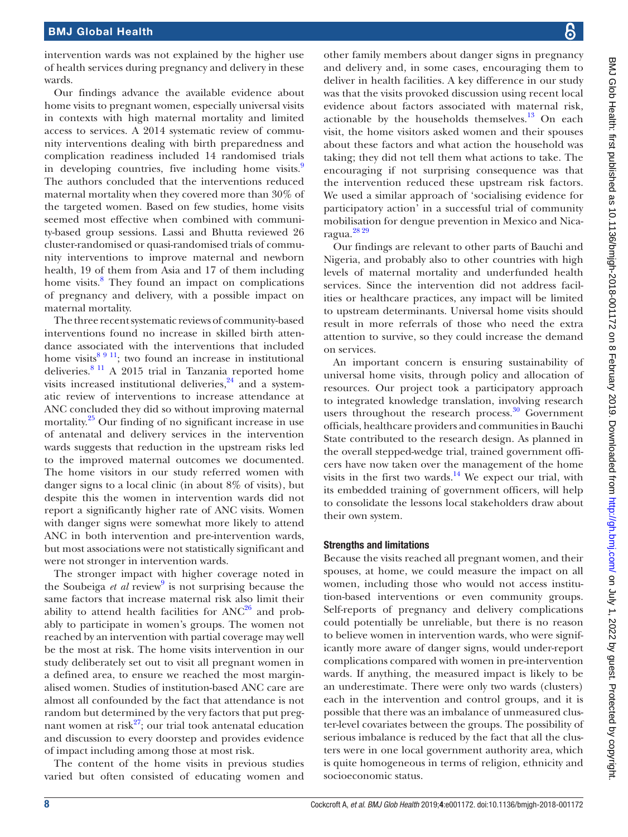intervention wards was not explained by the higher use of health services during pregnancy and delivery in these wards.

Our findings advance the available evidence about home visits to pregnant women, especially universal visits in contexts with high maternal mortality and limited access to services. A 2014 systematic review of community interventions dealing with birth preparedness and complication readiness included 14 randomised trials in developing countries, five including home visits. The authors concluded that the interventions reduced maternal mortality when they covered more than 30% of the targeted women. Based on few studies, home visits seemed most effective when combined with community-based group sessions. Lassi and Bhutta reviewed 26 cluster-randomised or quasi-randomised trials of community interventions to improve maternal and newborn health, 19 of them from Asia and 17 of them including home visits.<sup>[8](#page-8-7)</sup> They found an impact on complications of pregnancy and delivery, with a possible impact on maternal mortality.

The three recent systematic reviews of community-based interventions found no increase in skilled birth attendance associated with the interventions that included home visits $8911$ ; two found an increase in institutional deliveries.[8 11](#page-8-7) A 2015 trial in Tanzania reported home visits increased institutional deliveries, $24$  and a systematic review of interventions to increase attendance at ANC concluded they did so without improving maternal mortality.<sup>25</sup> Our finding of no significant increase in use of antenatal and delivery services in the intervention wards suggests that reduction in the upstream risks led to the improved maternal outcomes we documented. The home visitors in our study referred women with danger signs to a local clinic (in about 8% of visits), but despite this the women in intervention wards did not report a significantly higher rate of ANC visits. Women with danger signs were somewhat more likely to attend ANC in both intervention and pre-intervention wards, but most associations were not statistically significant and were not stronger in intervention wards.

The stronger impact with higher coverage noted in the Soubeiga *et al* review<sup>[9](#page-8-8)</sup> is not surprising because the same factors that increase maternal risk also limit their ability to attend health facilities for  $ANC^{26}$  and probably to participate in women's groups. The women not reached by an intervention with partial coverage may well be the most at risk. The home visits intervention in our study deliberately set out to visit all pregnant women in a defined area, to ensure we reached the most marginalised women. Studies of institution-based ANC care are almost all confounded by the fact that attendance is not random but determined by the very factors that put pregnant women at risk $2^7$ ; our trial took antenatal education and discussion to every doorstep and provides evidence of impact including among those at most risk.

The content of the home visits in previous studies varied but often consisted of educating women and

other family members about danger signs in pregnancy and delivery and, in some cases, encouraging them to deliver in health facilities. A key difference in our study was that the visits provoked discussion using recent local evidence about factors associated with maternal risk, actionable by the households themselves. $13$  On each visit, the home visitors asked women and their spouses about these factors and what action the household was taking; they did not tell them what actions to take. The encouraging if not surprising consequence was that the intervention reduced these upstream risk factors. We used a similar approach of 'socialising evidence for participatory action' in a successful trial of community mobilisation for dengue prevention in Mexico and Nicaragua.[28 29](#page-8-27)

Our findings are relevant to other parts of Bauchi and Nigeria, and probably also to other countries with high levels of maternal mortality and underfunded health services. Since the intervention did not address facilities or healthcare practices, any impact will be limited to upstream determinants. Universal home visits should result in more referrals of those who need the extra attention to survive, so they could increase the demand on services.

An important concern is ensuring sustainability of universal home visits, through policy and allocation of resources. Our project took a participatory approach to integrated knowledge translation, involving research users throughout the research process.<sup>30</sup> Government officials, healthcare providers and communities in Bauchi State contributed to the research design. As planned in the overall stepped-wedge trial, trained government officers have now taken over the management of the home visits in the first two wards.<sup>14</sup> We expect our trial, with its embedded training of government officers, will help to consolidate the lessons local stakeholders draw about their own system.

## Strengths and limitations

Because the visits reached all pregnant women, and their spouses, at home, we could measure the impact on all women, including those who would not access institution-based interventions or even community groups. Self-reports of pregnancy and delivery complications could potentially be unreliable, but there is no reason to believe women in intervention wards, who were significantly more aware of danger signs, would under-report complications compared with women in pre-intervention wards. If anything, the measured impact is likely to be an underestimate. There were only two wards (clusters) each in the intervention and control groups, and it is possible that there was an imbalance of unmeasured cluster-level covariates between the groups. The possibility of serious imbalance is reduced by the fact that all the clusters were in one local government authority area, which is quite homogeneous in terms of religion, ethnicity and socioeconomic status.